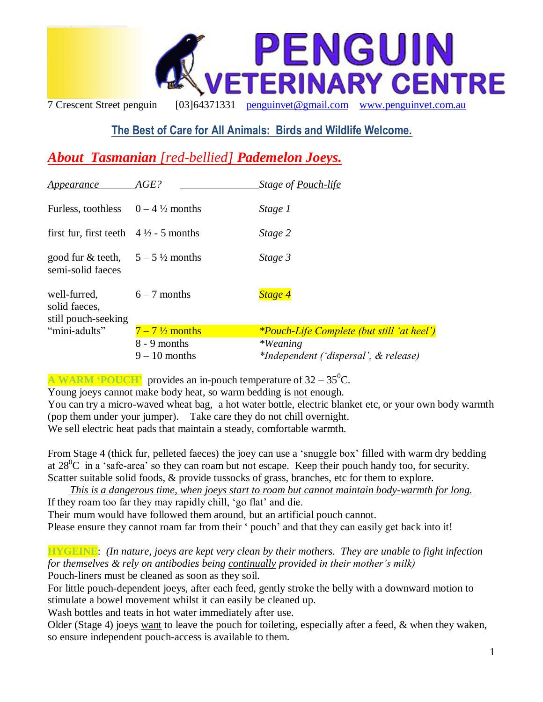

# **The Best of Care for All Animals: Birds and Wildlife Welcome.**

# *About Tasmanian [red-bellied] Pademelon Joeys.*

| Appearance                                                     | AGE?                                                       | Stage of Pouch-life                                                                                           |
|----------------------------------------------------------------|------------------------------------------------------------|---------------------------------------------------------------------------------------------------------------|
| Furless, toothless                                             | $0 - 4\frac{1}{2}$ months                                  | Stage 1                                                                                                       |
| first fur, first teeth $4\frac{1}{2}$ - 5 months               |                                                            | Stage 2                                                                                                       |
| good fur & teeth, $5-5\frac{1}{2}$ months<br>semi-solid faeces |                                                            | Stage 3                                                                                                       |
| well-furred,<br>solid faeces,<br>still pouch-seeking           | $6 - 7$ months                                             | Stage 4                                                                                                       |
| "mini-adults"                                                  | $7-7\frac{1}{2}$ months<br>8 - 9 months<br>$9 - 10$ months | <i>*Pouch-Life Complete (but still 'at heel')</i><br><i>*Weaning</i><br>*Independent ('dispersal', & release) |

**A WARM 'POUCH'** provides an in-pouch temperature of  $32 - 35^{\circ}$ C.

Young joeys cannot make body heat, so warm bedding is not enough.

You can try a micro-waved wheat bag, a hot water bottle, electric blanket etc, or your own body warmth (pop them under your jumper). Take care they do not chill overnight. We sell electric heat pads that maintain a steady, comfortable warmth.

From Stage 4 (thick fur, pelleted faeces) the joey can use a "snuggle box" filled with warm dry bedding at  $28^{\circ}$ C in a 'safe-area' so they can roam but not escape. Keep their pouch handy too, for security. Scatter suitable solid foods, & provide tussocks of grass, branches, etc for them to explore.

*This is a dangerous time, when joeys start to roam but cannot maintain body-warmth for long.* If they roam too far they may rapidly chill, 'go flat' and die. Their mum would have followed them around, but an artificial pouch cannot.

Please ensure they cannot roam far from their ' pouch' and that they can easily get back into it!

**HYGEINE**: *(In nature, joeys are kept very clean by their mothers. They are unable to fight infection for themselves & rely on antibodies being continually provided in their mother's milk)* Pouch-liners must be cleaned as soon as they soil.

For little pouch-dependent joeys, after each feed, gently stroke the belly with a downward motion to stimulate a bowel movement whilst it can easily be cleaned up.

Wash bottles and teats in hot water immediately after use.

Older (Stage 4) joeys want to leave the pouch for toileting, especially after a feed, & when they waken, so ensure independent pouch-access is available to them.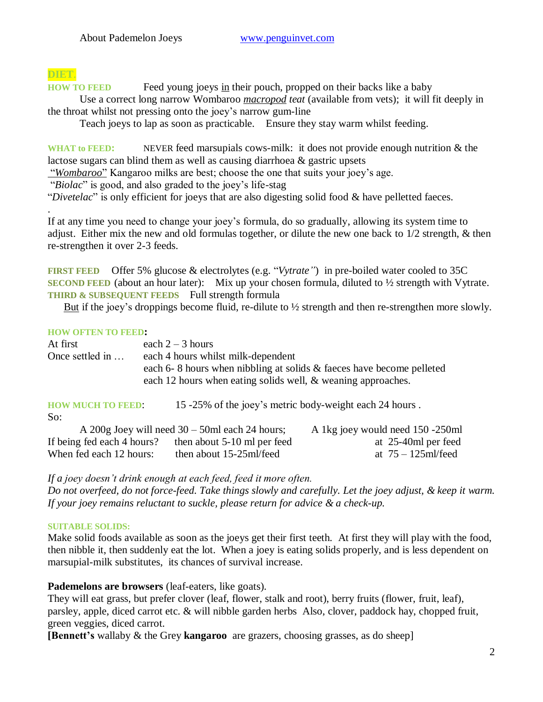# **DIET**.

.

**HOW TO FEED** Feed young joeys in their pouch, propped on their backs like a baby Use a correct long narrow Wombaroo *macropod teat* (available from vets); it will fit deeply in

the throat whilst not pressing onto the joey"s narrow gum-line

Teach joeys to lap as soon as practicable. Ensure they stay warm whilst feeding.

WHAT to FEED: NEVER feed marsupials cows-milk: it does not provide enough nutrition & the lactose sugars can blind them as well as causing diarrhoea & gastric upsets

"*Wombaroo*" Kangaroo milks are best; choose the one that suits your joey"s age.

"*Biolac*" is good, and also graded to the joey"s life-stag

"*Divetelac*" is only efficient for joeys that are also digesting solid food & have pelletted faeces.

If at any time you need to change your joey"s formula, do so gradually, allowing its system time to adjust. Either mix the new and old formulas together, or dilute the new one back to 1/2 strength, & then re-strengthen it over 2-3 feeds.

**FIRST FEED** Offer 5% glucose & electrolytes (e.g. "*Vytrate"*) in pre-boiled water cooled to 35C **SECOND FEED** (about an hour later): Mix up your chosen formula, diluted to  $\frac{1}{2}$  strength with Vytrate. **THIRD & SUBSEQUENT FEEDS** Full strength formula

But if the joey's droppings become fluid, re-dilute to  $\frac{1}{2}$  strength and then re-strengthen more slowly.

#### **HOW OFTEN TO FEED:**

| At first        | each $2 - 3$ hours                                                   |
|-----------------|----------------------------------------------------------------------|
| Once settled in | each 4 hours whilst milk-dependent                                   |
|                 | each 6-8 hours when nibbling at solids & faeces have become pelleted |
|                 | each 12 hours when eating solids well, & weaning approaches.         |
|                 |                                                                      |

| <b>HOW MUCH TO FEED:</b>   | 15 -25% of the joey's metric body-weight each 24 hours. |                                  |
|----------------------------|---------------------------------------------------------|----------------------------------|
| So:                        |                                                         |                                  |
|                            | A 200g Joey will need $30 - 50$ ml each 24 hours;       | A 1kg joey would need 150 -250ml |
| If being fed each 4 hours? | then about 5-10 ml per feed                             | at 25-40ml per feed              |
| When fed each 12 hours:    | then about 15-25ml/feed                                 | at $75 - 125$ ml/feed            |

*If a joey doesn't drink enough at each feed, feed it more often.* 

*Do not overfeed, do not force-feed. Take things slowly and carefully. Let the joey adjust, & keep it warm. If your joey remains reluctant to suckle, please return for advice & a check-up.*

## **SUITABLE SOLIDS:**

Make solid foods available as soon as the joeys get their first teeth. At first they will play with the food, then nibble it, then suddenly eat the lot. When a joey is eating solids properly, and is less dependent on marsupial-milk substitutes, its chances of survival increase.

## **Pademelons are browsers** (leaf-eaters, like goats).

They will eat grass, but prefer clover (leaf, flower, stalk and root), berry fruits (flower, fruit, leaf), parsley, apple, diced carrot etc. & will nibble garden herbs Also, clover, paddock hay, chopped fruit, green veggies, diced carrot.

**[Bennett's** wallaby & the Grey **kangaroo** are grazers, choosing grasses, as do sheep]